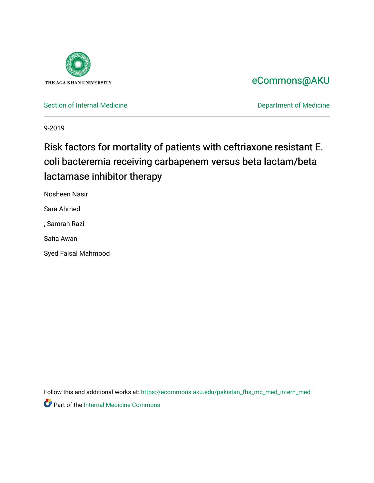

## [eCommons@AKU](https://ecommons.aku.edu/)

[Section of Internal Medicine](https://ecommons.aku.edu/pakistan_fhs_mc_med_intern_med) **Department of Medicine** Department of Medicine

9-2019

# Risk factors for mortality of patients with ceftriaxone resistant E. coli bacteremia receiving carbapenem versus beta lactam/beta lactamase inhibitor therapy

Nosheen Nasir

Sara Ahmed

, Samrah Razi

Safia Awan

Syed Faisal Mahmood

Follow this and additional works at: [https://ecommons.aku.edu/pakistan\\_fhs\\_mc\\_med\\_intern\\_med](https://ecommons.aku.edu/pakistan_fhs_mc_med_intern_med?utm_source=ecommons.aku.edu%2Fpakistan_fhs_mc_med_intern_med%2F142&utm_medium=PDF&utm_campaign=PDFCoverPages) 

Part of the [Internal Medicine Commons](http://network.bepress.com/hgg/discipline/1356?utm_source=ecommons.aku.edu%2Fpakistan_fhs_mc_med_intern_med%2F142&utm_medium=PDF&utm_campaign=PDFCoverPages)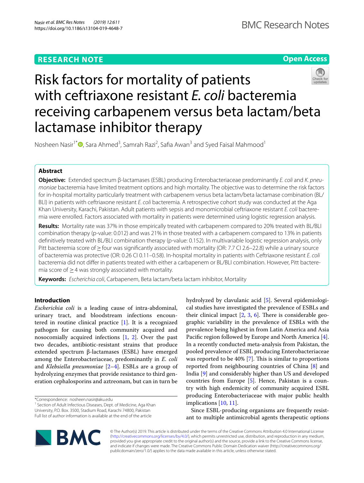## **RESEARCH NOTE**

## **Open Access**



# Risk factors for mortality of patients with ceftriaxone resistant *E. coli* bacteremia receiving carbapenem versus beta lactam/beta lactamase inhibitor therapy

Nosheen Nasir<sup>1\*</sup><sup>®</sup>[,](http://orcid.org/0000-0003-1610-8748) Sara Ahmed<sup>3</sup>, Samrah Razi<sup>2</sup>, Safia Awan<sup>3</sup> and Syed Faisal Mahmood<sup>1</sup>

## **Abstract**

**Objective:** Extended spectrum β-lactamases (ESBL) producing Enterobacteriaceae predominantly *E. coli* and *K. pneumoniae* bacteremia have limited treatment options and high mortality. The objective was to determine the risk factors for in-hospital mortality particularly treatment with carbapenem versus beta lactam/beta lactamase combination (BL/ BLI) in patients with ceftriaxone resistant *E. coli* bacteremia. A retrospective cohort study was conducted at the Aga Khan University, Karachi, Pakistan. Adult patients with sepsis and monomicrobial ceftriaxone resistant *E. coli* bacteremia were enrolled. Factors associated with mortality in patients were determined using logistic regression analysis.

**Results:** Mortality rate was 37% in those empirically treated with carbapenem compared to 20% treated with BL/BLI combination therapy (p-value: 0.012) and was 21% in those treated with a carbapenem compared to 13% in patients defnitively treated with BL/BLI combination therapy (p-value: 0.152). In multivariable logistic regression analysis, only Pitt bacteremia score of ≥ four was significantly associated with mortality (OR: 7.7 CI 2.6–22.8) while a urinary source of bacteremia was protective (OR: 0.26 CI 0.11–0.58). In-hospital mortality in patients with Ceftriaxone resistant *E. coli* bacteremia did not difer in patients treated with either a carbapenem or BL/BLI combination. However, Pitt bacteremia score of  $\geq$  4 was strongly associated with mortality.

**Keywords:** *Escherichia coli*, Carbapenem, Beta lactam/beta lactam inhibitor, Mortality

## **Introduction**

*Escherichia coli* is a leading cause of intra-abdominal, urinary tract, and bloodstream infections encountered in routine clinical practice [\[1](#page-5-0)]. It is a recognized pathogen for causing both community acquired and nosocomially acquired infections [[1,](#page-5-0) [2\]](#page-5-1). Over the past two decades, antibiotic-resistant strains that produce extended spectrum β-lactamases (ESBL) have emerged among the Enterobacteriaceae, predominantly in *E. coli* and *Klebsiella pneumoniae* [[2–](#page-5-1)[4\]](#page-5-2). ESBLs are a group of hydrolyzing enzymes that provide resistance to third generation cephalosporins and aztreonam, but can in turn be

\*Correspondence: nosheen.nasir@aku.edu

<sup>1</sup> Section of Adult Infectious Diseases, Dept. of Medicine, Aga Khan University, P.O. Box. 3500, Stadium Road, Karachi 74800, Pakistan Full list of author information is available at the end of the article

hydrolyzed by clavulanic acid [[5\]](#page-5-3). Several epidemiological studies have investigated the prevalence of ESBLs and their clinical impact  $[2, 3, 6]$  $[2, 3, 6]$  $[2, 3, 6]$  $[2, 3, 6]$  $[2, 3, 6]$  $[2, 3, 6]$ . There is considerable geographic variability in the prevalence of ESBLs with the prevalence being highest in from Latin America and Asia Pacific region followed by Europe and North America [\[4](#page-5-2)]. In a recently conducted meta-analysis from Pakistan, the pooled prevalence of ESBL producing Enterobacteriaceae was reported to be  $40\%$  [\[7](#page-5-6)]. This is similar to proportions reported from neighbouring countries of China [[8\]](#page-5-7) and India [[9\]](#page-5-8) and considerably higher than US and developed countries from Europe [[5\]](#page-5-3). Hence, Pakistan is a country with high endemicity of community acquired ESBL producing Enterobacteriaceae with major public health implications [[10](#page-5-9), [11\]](#page-5-10).

Since ESBL-producing organisms are frequently resistant to multiple antimicrobial agents therapeutic options



© The Author(s) 2019. This article is distributed under the terms of the Creative Commons Attribution 4.0 International License [\(http://creativecommons.org/licenses/by/4.0/\)](http://creativecommons.org/licenses/by/4.0/), which permits unrestricted use, distribution, and reproduction in any medium, provided you give appropriate credit to the original author(s) and the source, provide a link to the Creative Commons license, and indicate if changes were made. The Creative Commons Public Domain Dedication waiver (http://creativecommons.org/ publicdomain/zero/1.0/) applies to the data made available in this article, unless otherwise stated.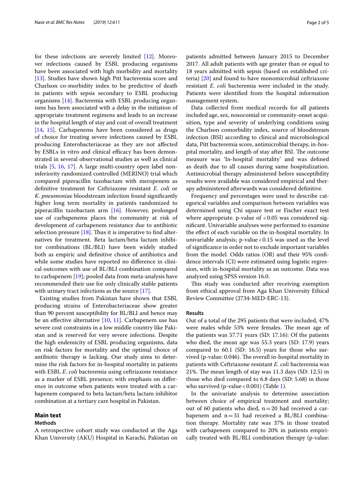for these infections are severely limited [[12\]](#page-5-11). Moreover infections caused by ESBL producing organisms have been associated with high morbidity and mortality [[13\]](#page-5-12). Studies have shown high Pitt bacteremia score and Charlson co-morbidity index to be predictive of death in patients with sepsis secondary to ESBL producing organisms [[14\]](#page-5-13). Bacteremia with ESBL producing organisms has been associated with a delay in the initiation of appropriate treatment regimens and leads to an increase in the hospital length of stay and cost of overall treatment [[14,](#page-5-13) [15](#page-5-14)]. Carbapenems have been considered as drugs of choice for treating severe infections caused by ESBL producing Enterobacteriaceae as they are not afected by ESBLs in vitro and clinical efficacy has been demonstrated in several observational studies as well as clinical trials [\[5,](#page-5-3) [16,](#page-5-15) [17](#page-5-16)]. A large multi-country open label noninferiority randomized controlled (MERINO) trial which compared piperacillin tazobactam with meropenem as defnitive treatment for Ceftriaxone resistant *E. coli* or *K. pneumoniae* bloodstream infection found signifcantly higher long term mortality in patients randomized to piperacillin tazobactam arm [\[16\]](#page-5-15). However, prolonged use of carbapenems places the community at risk of development of carbapenem resistance due to antibiotic selection pressure  $[18]$  $[18]$ . Thus it is imperative to find alternatives for treatment. Beta lactam/beta lactam inhibitor combinations (BL/BLI) have been widely studied both as empiric and defnitive choice of antibiotics and while some studies have reported no diference in clinical outcomes with use of BL/BLI combination compared to carbapenem [\[19](#page-5-18)]; pooled data from meta-analysis have recommended their use for only clinically stable patients with urinary tract infections as the source [\[17](#page-5-16)].

Existing studies from Pakistan have shown that ESBL producing strains of Enterobacteriaceae show greater than 90 percent susceptibility for BL/BLI and hence may be an effective alternative  $[10, 11]$  $[10, 11]$  $[10, 11]$  $[10, 11]$  $[10, 11]$ . Carbapenem use has severe cost constraints in a low middle country like Pakistan and is reserved for very severe infections. Despite the high endemicity of ESBL producing organisms, data on risk factors for mortality and the optimal choice of antibiotic therapy is lacking. Our study aims to determine the risk factors for in-hospital mortality in patients with ESBL *E. coli* bacteremia using ceftriaxone resistance as a marker of ESBL presence; with emphasis on diference in outcome when patients were treated with a carbapenem compared to beta lactam/beta lactam inhibitor combination at a tertiary care hospital in Pakistan.

#### **Main text**

#### **Methods**

A retrospective cohort study was conducted at the Aga Khan University (AKU) Hospital in Karachi, Pakistan on patients admitted between January 2015 to December 2017. All adult patients with age greater than or equal to 18 years admitted with sepsis (based on established criteria) [[20](#page-5-19)] and found to have monomicrobial ceftriaxone resistant *E. coli* bacteremia were included in the study. Patients were identifed from the hospital information management system.

Data collected from medical records for all patients included age, sex, nosocomial or community-onset acquisition, type and severity of underlying conditions using the Charlson comorbidity index, source of bloodstream infection (BSI) according to clinical and microbiological data, Pitt bacteremia score, antimicrobial therapy, in-hospital mortality, and length of stay after BSI. The outcome measure was 'In-hospital mortality' and was defned as death due to all causes during same hospitalization. Antimicrobial therapy administered before susceptibility results were available was considered empirical and therapy administered afterwards was considered defnitive.

Frequency and percentages were used to describe categorical variables and comparison between variables was determined using Chi square test or Fischer exact test where appropriate. p-value of  $< 0.05$  was considered signifcant. Univariable analyses were performed to examine the efect of each variable on the in-hospital mortality. In univariable analysis;  $p$ -value < 0.15 was used as the level of signifcance in order not to exclude important variables from the model. Odds ratios (OR) and their 95% confdence intervals (CI) were estimated using logistic regression, with in-hospital mortality as an outcome. Data was analyzed using SPSS version 16.0.

This study was conducted after receiving exemption from ethical approval from Aga Khan University Ethical Review Committee (2734-MED-ERC-13).

#### **Results**

Out of a total of the 295 patients that were included, 47% were males while 53% were females. The mean age of the patients was 57.71 years (SD: 17.16): Of the patients who died, the mean age was 55.3 years (SD: 17.9) years compared to 60.1 (SD: 16.5) years for those who survived (p-value: 0.046). The overall in-hospital mortality in patients with Ceftriaxone resistant *E. coli* bacteremia was 21%. The mean length of stay was  $11.3$  days (SD: 12.5) in those who died compared to 6.8 days (SD: 5.68) in those who survived (p-value <  $0.001$ ) (Table [1](#page-3-0)).

In the univariate analysis to determine association between choice of empirical treatment and mortality; out of 60 patients who died,  $n=20$  had received a carbapenem and n=31 had received a BL/BLI combination therapy. Mortality rate was 37% in those treated with carbapenem compared to 20% in patients empirically treated with BL/BLI combination therapy (p-value: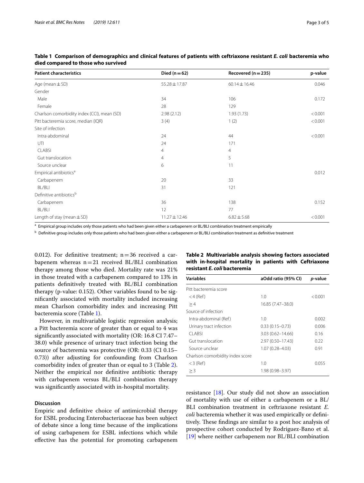| <b>Patient characteristics</b>              | Died ( $n = 62$ ) | Recovered $(n = 235)$ | p-value |
|---------------------------------------------|-------------------|-----------------------|---------|
| Age (mean $\pm$ SD)                         | 55.28 ± 17.87     | $60.14 \pm 16.46$     | 0.046   |
| Gender                                      |                   |                       |         |
| Male                                        | 34                | 106                   | 0.172   |
| Female                                      | 28                | 129                   |         |
| Charlson comorbidity index (CCI), mean (SD) | 2.98(2.12)        | 1.93(1.73)            | < 0.001 |
| Pitt bacteremia score, median (IQR)         | 3(4)              | 1(2)                  | < 0.001 |
| Site of infection                           |                   |                       |         |
| Intra-abdominal                             | 24                | 44                    | < 0.001 |
| UTI                                         | 24                | 171                   |         |
| <b>CLABSI</b>                               | 4                 | $\overline{4}$        |         |
| Gut translocation                           | $\overline{4}$    | 5                     |         |
| Source unclear                              | 6                 | 11                    |         |
| Empirical antibiotics <sup>a</sup>          |                   |                       | 0.012   |
| Carbapenem                                  | 20                | 33                    |         |
| BL/BLI                                      | 31                | 121                   |         |
| Definitive antibiotics <sup>b</sup>         |                   |                       |         |
| Carbapenem                                  | 36                | 138                   | 0.152   |
| BL/BLI                                      | 12                | 77                    |         |
| Length of stay (mean $\pm$ SD)              | 11.27 ± 12.46     | $6.82 \pm 5.68$       | < 0.001 |

<span id="page-3-0"></span>

|  | Table 1 Comparison of demographics and clinical features of patients with ceftriaxone resistant E. coli bacteremia who |  |  |  |
|--|------------------------------------------------------------------------------------------------------------------------|--|--|--|
|  | died compared to those who survived                                                                                    |  |  |  |

a Empirical group includes only those patients who had been given either a carbapenem or BL/BLI combination treatment empirically

<sup>b</sup> Definitive group includes only those patients who had been given either a carbapenem or BL/BLI combination treatment as definitive treatment

0.012). For definitive treatment;  $n=36$  received a carbapenem whereas  $n=21$  received BL/BLI combination therapy among those who died. Mortality rate was 21% in those treated with a carbapenem compared to 13% in patients defnitively treated with BL/BLI combination therapy (p-value: 0.152). Other variables found to be signifcantly associated with mortality included increasing mean Charlson comorbidity index and increasing Pitt bacteremia score (Table [1\)](#page-3-0).

However, in multivariable logistic regression analysis; a Pitt bacteremia score of greater than or equal to 4 was signifcantly associated with mortality (OR: 16.8 CI 7.47– 38.0) while presence of urinary tract infection being the source of bacteremia was protective (OR: 0.33 (CI 0.15– 0.73)) after adjusting for confounding from Charlson comorbidity index of greater than or equal to 3 (Table [2](#page-3-1)). Neither the empirical nor defnitive antibiotic therapy with carbapenem versus BL/BLI combination therapy was signifcantly associated with in-hospital mortality.

### **Discussion**

Empiric and defnitive choice of antimicrobial therapy for ESBL producing Enterobacteriaceae has been subject of debate since a long time because of the implications of using carbapenem for ESBL infections which while efective has the potential for promoting carbapenem

#### <span id="page-3-1"></span>**Table 2 Multivariable analysis showing factors associated with in-hospital mortality in patients with Ceftriaxone resistant** *E. coli* **bacteremia**

| <b>Variables</b>                 | aOdd ratio (95% CI)  | p-value |  |
|----------------------------------|----------------------|---------|--|
| Pitt bacteremia score            |                      |         |  |
| $<$ 4 (Ref)                      | 1.0                  | < 0.001 |  |
| >4                               | 16.85 (7.47-38.0)    |         |  |
| Source of infection              |                      |         |  |
| Intra-abdominal (Ref)            | 1.0                  | 0.002   |  |
| Urinary tract infection          | $0.33(0.15 - 0.73)$  | 0.006   |  |
| CI ABSI                          | $3.03(0.62 - 14.66)$ | 0.16    |  |
| Gut translocation                | 2.97 (0.50-17.43)    | 0.22    |  |
| Source unclear                   | 1.07 (0.28-4.03)     | 0.91    |  |
| Charlson comorbidity index score |                      |         |  |
| $<$ 3 (Ref)                      | 1.0                  | 0.055   |  |
| >3                               | 1.98 (0.98–3.97)     |         |  |
|                                  |                      |         |  |

resistance [\[18](#page-5-17)]. Our study did not show an association of mortality with use of either a carbapenem or a BL/ BLI combination treatment in ceftriaxone resistant *E. coli* bacteremia whether it was used empirically or defnitively. These findings are similar to a post hoc analysis of prospective cohort conducted by Rodriguez-Bano et al. [[19\]](#page-5-18) where neither carbapenem nor BL/BLI combination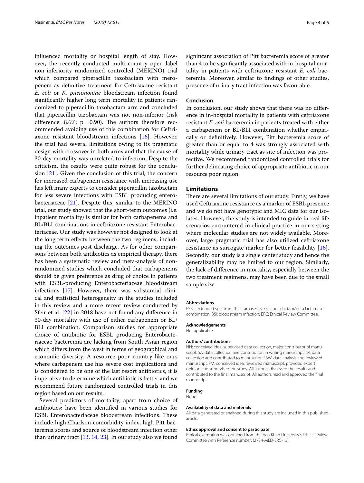infuenced mortality or hospital length of stay. However, the recently conducted multi-country open label non-inferiority randomized controlled (MERINO) trial which compared piperacillin tazobactam with meropenem as defnitive treatment for Ceftriaxone resistant *E. coli* or *K. pneumoniae* bloodstream infection found signifcantly higher long term mortality in patients randomized to piperacillin tazobactam arm and concluded that piperacillin tazobactam was not non-inferior (risk difference: 8.6%;  $p=0.90$ ). The authors therefore recommended avoiding use of this combination for Ceftriaxone resistant bloodstream infections [[16](#page-5-15)]. However, the trial had several limitations owing to its pragmatic design with crossover in both arms and that the cause of 30-day mortality was unrelated to infection. Despite the criticism, the results were quite robust for the conclusion [\[21\]](#page-5-20). Given the conclusion of this trial, the concern for increased carbapenem resistance with increasing use has left many experts to consider piperacillin tazobactam for less severe infections with ESBL producing enterobacteriaceae [\[21](#page-5-20)]. Despite this, similar to the MERINO trial, our study showed that the short-term outcomes (i.e. inpatient mortality) is similar for both carbapenems and BL/BLI combinations in ceftriaxone resistant Enterobacteriaceae. Our study was however not designed to look at the long term efects between the two regimens, including the outcomes post discharge. As for other comparisons between both antibiotics as empirical therapy, there has been a systematic review and meta-analysis of nonrandomized studies which concluded that carbapenems should be given preference as drug of choice in patients with ESBL-producing Enterobacteriaceae bloodstream infections [[17\]](#page-5-16). However, there was substantial clinical and statistical heterogeneity in the studies included in this review and a more recent review conducted by Sfeir et al. [\[22\]](#page-5-21) in 2018 have not found any diference in 30-day mortality with use of either carbapenem or BL/ BLI combination. Comparison studies for appropriate choice of antibiotic for ESBL producing Enterobacteriaceae bacteremia are lacking from South Asian region which difers from the west in terms of geographical and economic diversity. A resource poor country like ours where carbapenem use has severe cost implications and is considered to be one of the last resort antibiotics, it is imperative to determine which antibiotic is better and we recommend future randomized controlled trials in this region based on our results.

Several predictors of mortality; apart from choice of antibiotics; have been identifed in various studies for ESBL Enterobacteriaceae bloodstream infections. These include high Charlson comorbidity index, high Pitt bacteremia scores and source of bloodstream infection other than urinary tract [\[13,](#page-5-12) [14](#page-5-13), [23\]](#page-5-22). In our study also we found signifcant association of Pitt bacteremia score of greater than 4 to be signifcantly associated with in-hospital mortality in patients with ceftriaxone resistant *E. coli* bacteremia. Moreover, similar to fndings of other studies, presence of urinary tract infection was favourable.

#### **Conclusion**

In conclusion, our study shows that there was no diference in in-hospital mortality in patients with ceftriaxone resistant *E. coli* bacteremia in patients treated with either a carbapenem or BL/BLI combination whether empirically or defnitively. However, Pitt bacteremia score of greater than or equal to 4 was strongly associated with mortality while urinary tract as site of infection was protective. We recommend randomized controlled trials for further delineating choice of appropriate antibiotic in our resource poor region.

#### **Limitations**

There are several limitations of our study. Firstly, we have used Ceftriaxone resistance as a marker of ESBL presence and we do not have genotypic and MIC data for our isolates. However, the study is intended to guide in real life scenarios encountered in clinical practice in our setting where molecular studies are not widely available. Moreover, large pragmatic trial has also utilized ceftriaxone resistance as surrogate marker for better feasibility [\[16](#page-5-15)]. Secondly, our study is a single center study and hence the generalizability may be limited to our region. Similarly, the lack of diference in mortality, especially between the two treatment regimens, may have been due to the small sample size.

#### **Abbreviations**

ESBL: extended spectrum β-lactamases; BL/BLI: beta lactam/beta lactamase combination; BSI: bloodstream infection; ERC: Ethical Review Committee.

#### **Acknowledgements**

Not applicable.

#### **Authors' contributions**

NN: conceived idea, supervised data collection, major contributor of manuscript. SA: data collection and contribution in writing manuscript. SR: data collection and contributed to manuscript. SAW: data analysis and reviewed manuscript. FM: conceived idea, reviewed manuscript, provided expert opinion and supervised the study. All authors discussed the results and contributed to the fnal manuscript. All authors read and approved the fnal manuscript.

#### **Funding**

None.

#### **Availability of data and materials**

All data generated or analysed during this study are included in this published article.

#### **Ethics approval and consent to participate**

Ethical exemption was obtained from the Aga Khan University's Ethics Review Committee with Reference number: (2734-MED-ERC-13).